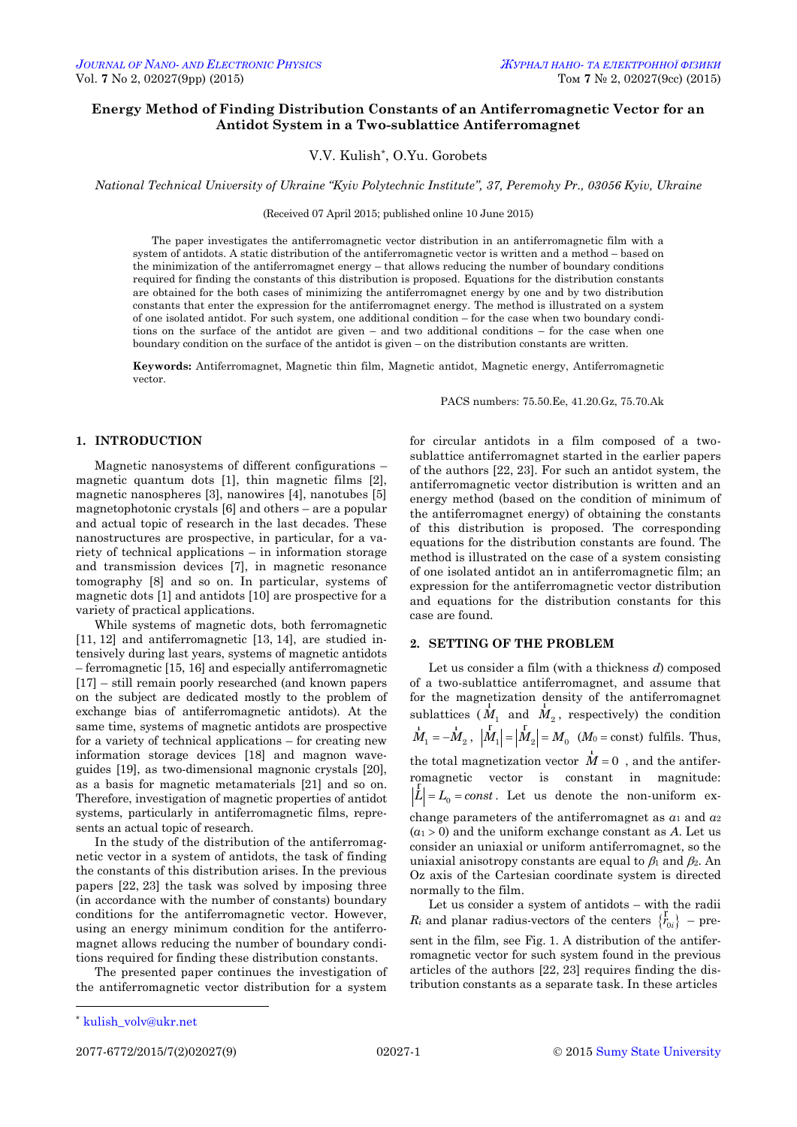# **Energy Method of Finding Distribution Constants of an Antiferromagnetic Vector for an Antidot System in a Two-sublattice Antiferromagnet**

V.V. Kulish\* , O.Yu. Gorobets

*National Technical University of Ukraine "Kyiv Polytechnic Institute", 37, Peremohy Pr., 03056 Kyiv, Ukraine*

(Received 07 April 2015; published online 10 June 2015)

The paper investigates the antiferromagnetic vector distribution in an antiferromagnetic film with a system of antidots. A static distribution of the antiferromagnetic vector is written and a method – based on the minimization of the antiferromagnet energy – that allows reducing the number of boundary conditions required for finding the constants of this distribution is proposed. Equations for the distribution constants are obtained for the both cases of minimizing the antiferromagnet energy by one and by two distribution constants that enter the expression for the antiferromagnet energy. The method is illustrated on a system of one isolated antidot. For such system, one additional condition – for the case when two boundary conditions on the surface of the antidot are given – and two additional conditions – for the case when one boundary condition on the surface of the antidot is given – on the distribution constants are written.

**Keywords:** Antiferromagnet, Magnetic thin film, Magnetic antidot, Magnetic energy, Antiferromagnetic vector.

PACS numbers: 75.50.Ee, 41.20.Gz, 75.70.Ak

# **1. INTRODUCTION**

Magnetic nanosystems of different configurations – magnetic quantum dots [1], thin magnetic films [2], magnetic nanospheres [3], nanowires [4], nanotubes [5] magnetophotonic crystals [6] and others – are a popular and actual topic of research in the last decades. These nanostructures are prospective, in particular, for a variety of technical applications – in information storage and transmission devices [7], in magnetic resonance tomography [8] and so on. In particular, systems of magnetic dots [1] and antidots [10] are prospective for a variety of practical applications.

While systems of magnetic dots, both ferromagnetic [11, 12] and antiferromagnetic [13, 14], are studied intensively during last years, systems of magnetic antidots – ferromagnetic [15, 16] and especially antiferromagnetic [17] – still remain poorly researched (and known papers on the subject are dedicated mostly to the problem of exchange bias of antiferromagnetic antidots). At the same time, systems of magnetic antidots are prospective for a variety of technical applications – for creating new information storage devices [18] and magnon waveguides [19], as two-dimensional magnonic crystals [20], as a basis for magnetic metamaterials [21] and so on. Therefore, investigation of magnetic properties of antidot systems, particularly in antiferromagnetic films, represents an actual topic of research.

In the study of the distribution of the antiferromagnetic vector in a system of antidots, the task of finding the constants of this distribution arises. In the previous papers [22, 23] the task was solved by imposing three (in accordance with the number of constants) boundary conditions for the antiferromagnetic vector. However, using an energy minimum condition for the antiferromagnet allows reducing the number of boundary conditions required for finding these distribution constants.

The presented paper continues the investigation of the antiferromagnetic vector distribution for a system

for circular antidots in a film composed of a twosublattice antiferromagnet started in the earlier papers of the authors [22, 23]. For such an antidot system, the antiferromagnetic vector distribution is written and an energy method (based on the condition of minimum of the antiferromagnet energy) of obtaining the constants of this distribution is proposed. The corresponding equations for the distribution constants are found. The method is illustrated on the case of a system consisting of one isolated antidot an in antiferromagnetic film; an expression for the antiferromagnetic vector distribution and equations for the distribution constants for this case are found.

# **2. SETTING OF THE PROBLEM**

Let us consider a film (with a thickness *d*) composed of a two-sublattice antiferromagnet, and assume that for the magnetization density of the antiferromagnet sublattices  $(M_1 \text{ and } M_2)$ , respectively) the condition  $M_1 = -M_2$ ,  $|M_1| = |M_2| = M_0$  (*M*<sub>0</sub> = const) fulfils. Thus, the total magnetization vector  $\vec{M} = 0$ , and the antiferromagnetic vector is constant in magnitude:  $L = L_0 = const.$  Let us denote the non-uniform exchange parameters of the antiferromagnet as *α*<sup>1</sup> and *α*<sup>2</sup>  $(a_1 > 0)$  and the uniform exchange constant as *A*. Let us consider an uniaxial or uniform antiferromagnet, so the uniaxial anisotropy constants are equal to  $\beta_1$  and  $\beta_2$ . An Oz axis of the Cartesian coordinate system is directed normally to the film.

Let us consider a system of antidots – with the radii *R<sub>i</sub>* and planar radius-vectors of the centers  $\{r_{0i}\}$  – present in the film, see Fig. 1. A distribution of the antiferromagnetic vector for such system found in the previous articles of the authors [22, 23] requires finding the distribution constants as a separate task. In these articles

<u>.</u>

<span id="page-0-3"></span><span id="page-0-2"></span><span id="page-0-1"></span><span id="page-0-0"></span>

<sup>\*</sup> [kulish\\_volv@ukr.net](mailto:kulish_volv@ukr.net)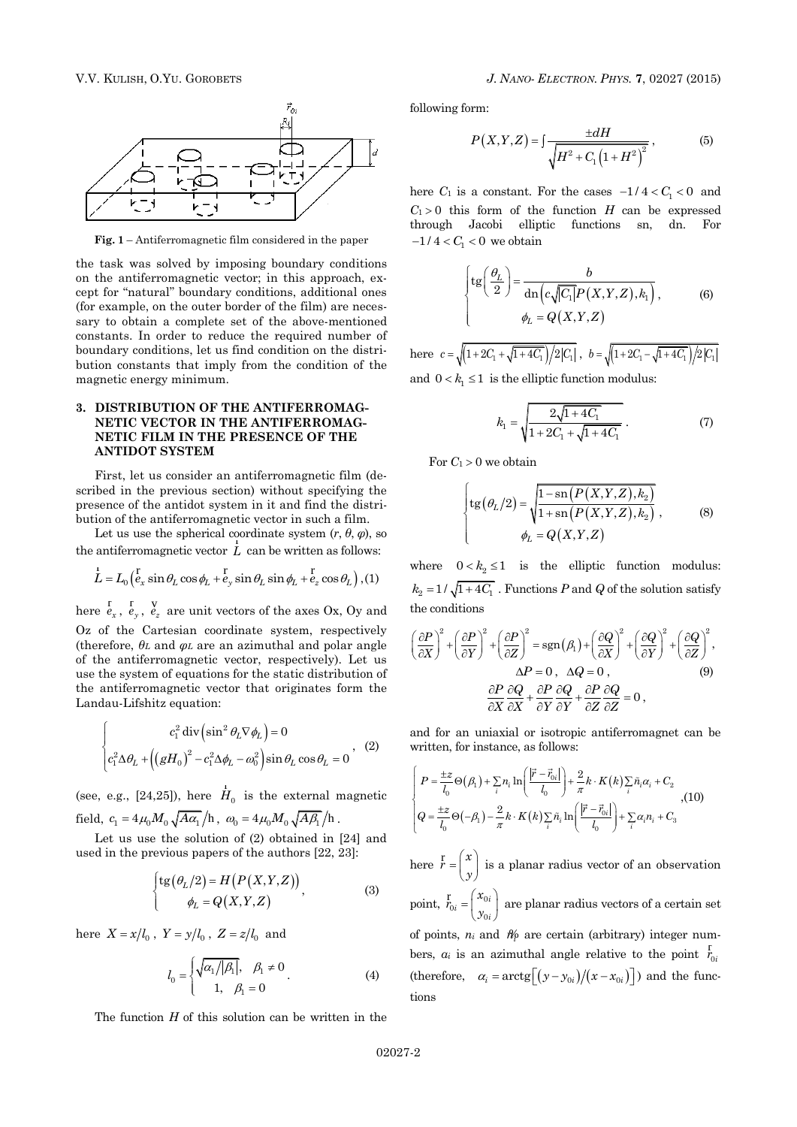

**Fig. 1** – Antiferromagnetic film considered in the paper

the task was solved by imposing boundary conditions on the antiferromagnetic vector; in this approach, except for "natural" boundary conditions, additional ones (for example, on the outer border of the film) are necessary to obtain a complete set of the above-mentioned constants. In order to reduce the required number of boundary conditions, let us find condition on the distribution constants that imply from the condition of the magnetic energy minimum.

# **3. DISTRIBUTION OF THE ANTIFERROMAG-NETIC VECTOR IN THE ANTIFERROMAG-NETIC FILM IN THE PRESENCE OF THE ANTIDOT SYSTEM**

First, let us consider an antiferromagnetic film (described in the previous section) without specifying the presence of the antidot system in it and find the distribution of the antiferromagnetic vector in such a film.

Let us use the spherical coordinate system  $(r, \theta, \varphi)$ , so

the antiferromagnetic vector *L* can be written as follows:  
\n
$$
\frac{1}{L} = L_0 \left( \frac{v}{e_x} \sin \theta_L \cos \phi_L + \frac{v}{e_y} \sin \theta_L \sin \phi_L + \frac{v}{e_z} \cos \theta_L \right), (1)
$$

here  $\overline{e}_x^{\rm r}$ ,  $\overline{e}_y^{\rm v}$ ,  $\overline{e}_z^{\rm v}$  are unit vectors of the axes Ox, Oy and Oz of the Cartesian coordinate system, respectively (therefore, *θ<sup>L</sup>* and *φ<sup>L</sup>* are an azimuthal and polar angle of the antiferromagnetic vector, respectively). Let us use the system of equations for the static distribution of the antiferromagnetic vector that originates form the Landau-Lifshitz equation:

$$
\begin{cases}\nc_1^2 \operatorname{div} \left(\sin^2 \theta_L \nabla \phi_L\right) = 0 \\
c_1^2 \Delta \theta_L + \left(\left(gH_0\right)^2 - c_1^2 \Delta \phi_L - \omega_0^2\right) \sin \theta_L \cos \theta_L = 0\n\end{cases}, (2)
$$

(see, e.g., [24,25]), here  $\overrightarrow{H}_0$  is the external magnetic field,  $c_1 = 4\mu_0 M_0 \sqrt{A\alpha_1}/h$ ,  $\omega_0 = 4\mu_0 M_0 \sqrt{A\beta_1}/h$ .

Let us use the solution of (2) obtained in [24] and used in the previous papers of the authors [22, 23]:

$$
\begin{cases} \operatorname{tg}(\theta_L/2) = H(P(X,Y,Z)) \\ \phi_L = Q(X,Y,Z) \end{cases}
$$
 (3)

here  $X = x/l_0$ ,  $Y = y/l_0$ ,  $Z = z/l_0$  and

$$
l_0 = \begin{cases} \sqrt{\alpha_1 / |\beta_1|}, & \beta_1 \neq 0 \\ 1, & \beta_1 = 0 \end{cases}
$$
 (4)

The function *H* of this solution can be written in the

following form:

$$
P(X,Y,Z) = \int \frac{\pm dH}{\sqrt{H^2 + C_1 (1 + H^2)^2}},
$$
\n(5)

here  $C_1$  is a constant. For the cases  $-1/4 < C_1 < 0$  and  $C_1 > 0$  this form of the function *H* can be expressed through Jacobi elliptic functions sn, dn. For  $-1/4 < C_1 < 0$  we obtain

$$
\begin{cases} \n\t\operatorname{tg}\left(\frac{\theta_L}{2}\right) = \frac{b}{\operatorname{dn}\left(c\sqrt{|C_1|}P(X,Y,Z),k_1\right)},\\ \n\t\phi_L = Q(X,Y,Z) \n\end{cases} \tag{6}
$$

here  $c = \sqrt{\left(1+2C_1+\sqrt{1+4C_1}\right)/2|C_1|}$ ,  $b = \sqrt{\left(1+2C_1-\sqrt{1+4C_1}\right)/2|C_1|}$ and  $0 < k_1 \leq 1$  is the elliptic function modulus:

$$
k_1 = \sqrt{\frac{2\sqrt{1+4C_1}}{1+2C_1 + \sqrt{1+4C_1}}}.
$$
 (7)

For  $C_1 > 0$  we obtain

$$
\begin{cases} \n\textrm{tg}(\theta_L/2) = \sqrt{\frac{1 - \textrm{sn}(P(X, Y, Z), k_2)}{1 + \textrm{sn}(P(X, Y, Z), k_2)}} ,\\ \n\t\t\t\t\phi_L = Q(X, Y, Z) \n\t\t\t\t\t\t\t\t\t\end{cases}, \tag{8}
$$

where  $0 < k_2 \le 1$  is the elliptic function modulus:  $k_2 = 1/\sqrt{1+4C_1}$ . Functions *P* and *Q* of the solution satisfy the conditions

the conditions  
\n
$$
\left(\frac{\partial P}{\partial X}\right)^2 + \left(\frac{\partial P}{\partial Y}\right)^2 + \left(\frac{\partial P}{\partial Z}\right)^2 = \text{sgn}(\beta_1) + \left(\frac{\partial Q}{\partial X}\right)^2 + \left(\frac{\partial Q}{\partial Y}\right)^2 + \left(\frac{\partial Q}{\partial Z}\right)^2,
$$
\n
$$
\Delta P = 0, \quad \Delta Q = 0,
$$
\n(9)  
\n
$$
\frac{\partial P}{\partial X} \frac{\partial Q}{\partial X} + \frac{\partial P}{\partial Y} \frac{\partial Q}{\partial Y} + \frac{\partial P}{\partial Z} \frac{\partial Q}{\partial Z} = 0,
$$

and for an uniaxial or isotropic antiferromagnet can be written, for instance, as follows:

$$
\begin{cases}\nP = \frac{\pm z}{l_0} \Theta(\beta_1) + \sum_i n_i \ln\left(\frac{|\vec{r} - \vec{r}_{0i}|}{l_0}\right) + \frac{2}{\pi} k \cdot K(k) \sum_i \tilde{n}_i \alpha_i + C_2 \\
Q = \frac{\pm z}{l_0} \Theta(-\beta_1) - \frac{2}{\pi} k \cdot K(k) \sum_i \tilde{n}_i \ln\left(\frac{|\vec{r} - \vec{r}_{0i}|}{l_0}\right) + \sum_i \alpha_i n_i + C_3\n\end{cases}
$$
\n
$$
(10)
$$

here  $\overline{r} = \begin{pmatrix} x \\ y \end{pmatrix}$  $\mathbf{r} = \begin{pmatrix} x \\ y \end{pmatrix}$  is a planar radius vector of an observation point,  $\overline{r}_{0i} = \begin{pmatrix} x_0 \\ y_0 \end{pmatrix}$  $i = \begin{pmatrix} x_{0i} \\ y_{0i} \end{pmatrix}$  $r_{0i} = \begin{cases} x \\ y \end{cases}$  $r_{0i} \equiv \begin{pmatrix} x_{0i} \\ y_{0i} \end{pmatrix}$  are planar radius vectors of a certain set of points,  $n_i$  and  $n_i$  are certain (arbitrary) integer numbers,  $a_i$  is an azimuthal angle relative to the point  $\overline{r}_{0i}$ (therefore,  $\alpha_i = \arctg[(y - y_{0i})/(x - x_{0i})]$ ) and the functions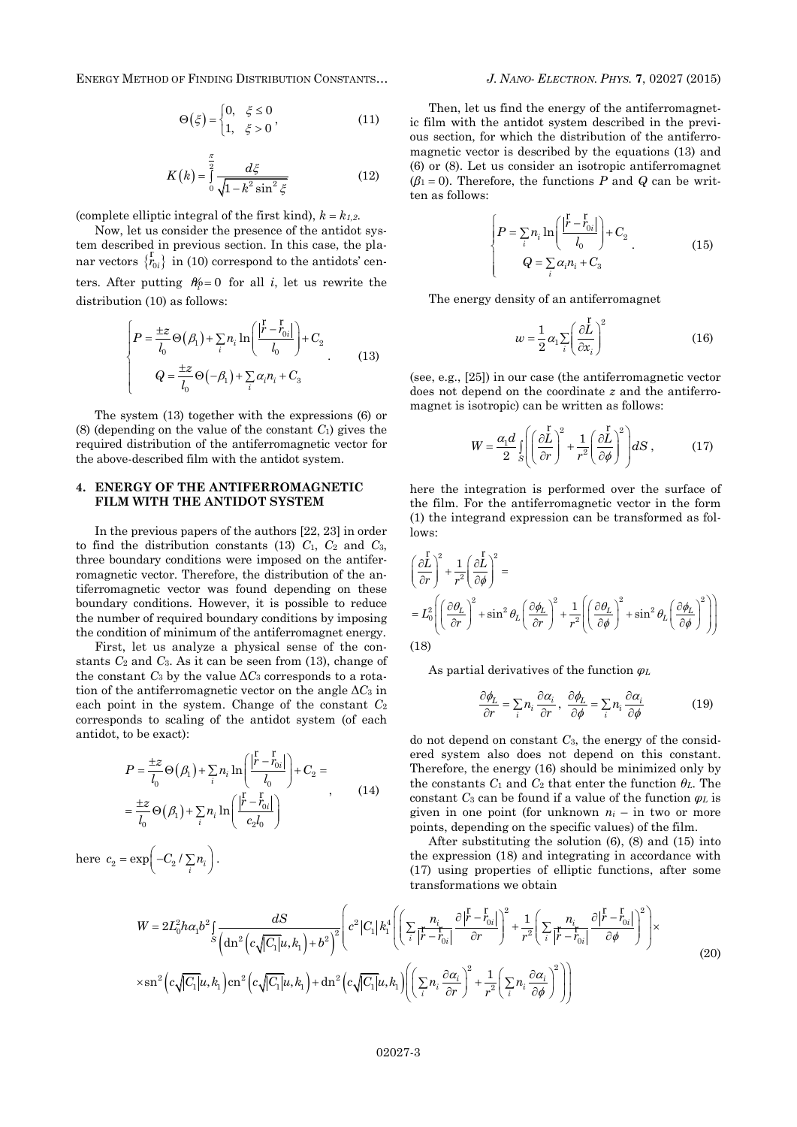ENERGY METHOD OF FINDING DISTRIBUTION CONSTANTS… *J. NANO- ELECTRON. PHYS.* **[7](#page-0-2)**, [02027](#page-0-2) [\(2015\)](#page-0-2)

$$
\Theta(\xi) = \begin{cases} 0, & \xi \le 0 \\ 1, & \xi > 0 \end{cases}, \tag{11}
$$

$$
K(k) = \int_{0}^{\frac{\pi}{2}} \frac{d\xi}{\sqrt{1 - k^2 \sin^2 \xi}}
$$
(12)

(complete elliptic integral of the first kind),  $k = k_{1,2}$ .

Now, let us consider the presence of the antidot system described in previous section. In this case, the planar vectors  $\{ \vec{r}_{0i} \}$  in (10) correspond to the antidots' centers. After putting  $n\phi = 0$  for all *i*, let us rewrite the distribution (10) as follows:

$$
\left\{\n\begin{aligned}\nP &= \frac{\pm z}{l_0} \Theta(\beta_1) + \sum_i n_i \ln\left(\frac{|\vec{r} - \vec{r}_{0i}|}{l_0}\right) + C_2 \\
Q &= \frac{\pm z}{l_0} \Theta(-\beta_1) + \sum_i \alpha_i n_i + C_3\n\end{aligned}\n\right.\n\tag{13}
$$

The system (13) together with the expressions (6) or (8) (depending on the value of the constant *C*1) gives the required distribution of the antiferromagnetic vector for the above-described film with the antidot system.

#### **4. ENERGY OF THE ANTIFERROMAGNETIC FILM WITH THE ANTIDOT SYSTEM**

In the previous papers of the authors [22, 23] in order to find the distribution constants (13)  $C_1$ ,  $C_2$  and  $C_3$ , three boundary conditions were imposed on the antiferromagnetic vector. Therefore, the distribution of the antiferromagnetic vector was found depending on these boundary conditions. However, it is possible to reduce the number of required boundary conditions by imposing the condition of minimum of the antiferromagnet energy.

First, let us analyze a physical sense of the constants  $C_2$  and  $C_3$ . As it can be seen from (13), change of the constant  $C_3$  by the value  $\Delta C_3$  corresponds to a rotation of the antiferromagnetic vector on the angle  $\Delta C_3$  in each point in the system. Change of the constant *C*<sup>2</sup> corresponds to scaling of the antidot system (of each antidot, to be exact):

$$
P = \frac{\pm z}{l_0} \Theta(\beta_1) + \sum_i n_i \ln\left(\frac{|\vec{r} - \vec{r}_{0i}|}{l_0}\right) + C_2 =
$$
  

$$
= \frac{\pm z}{l_0} \Theta(\beta_1) + \sum_i n_i \ln\left(\frac{|\vec{r} - \vec{r}_{0i}|}{c_2 l_0}\right)
$$
 (14)

here  $c_2 = \exp\left(-C_2 / \sum_i n_i\right)$ .

Then, let us find the energy of the antiferromagnetic film with the antidot system described in the previous section, for which the distribution of the antiferromagnetic vector is described by the equations (13) and (6) or (8). Let us consider an isotropic antiferromagnet  $(\beta_1 = 0)$ . Therefore, the functions *P* and *Q* can be written as follows:

$$
\begin{cases}\nP = \sum_{i} n_i \ln \left( \frac{|\vec{r} - \vec{r}_{0i}|}{l_0} \right) + C_2\\Q = \sum_{i} \alpha_i n_i + C_3\n\end{cases} (15)
$$

The energy density of an antiferromagnet

$$
w = \frac{1}{2} \alpha_1 \sum_{i} \left( \frac{\partial L}{\partial x_i} \right)^2 \tag{16}
$$

(see, e.g., [25]) in our case (the antiferromagnetic vector does not depend on the coordinate *z* and the antiferromagnet is isotropic) can be written as follows:

$$
W = \frac{\alpha_1 d}{2} \iint_S \left( \frac{\partial L}{\partial r} \right)^2 + \frac{1}{r^2} \left( \frac{\partial L}{\partial \phi} \right)^2 \, ds \,, \tag{17}
$$

here the integration is performed over the surface of the film. For the antiferromagnetic vector in the form (1) the integrand expression can be transformed as follows: rs:<br> $\int_{I}^{r}$  r  $\int_{I}^{2}$  1 (a)

$$
\left(\frac{\partial L}{\partial r}\right)^2 + \frac{1}{r^2} \left(\frac{\partial L}{\partial \phi}\right)^2 =
$$
\n
$$
= L_0^2 \left( \left(\frac{\partial \theta_L}{\partial r}\right)^2 + \sin^2 \theta_L \left(\frac{\partial \phi_L}{\partial r}\right)^2 + \frac{1}{r^2} \left( \left(\frac{\partial \theta_L}{\partial \phi}\right)^2 + \sin^2 \theta_L \left(\frac{\partial \phi_L}{\partial \phi}\right)^2 \right) \right)
$$
\n(18)

As partial derivatives of the function *φ<sup>L</sup>*

$$
\frac{\partial \phi_L}{\partial r} = \sum_i n_i \frac{\partial \alpha_i}{\partial r}, \quad \frac{\partial \phi_L}{\partial \phi} = \sum_i n_i \frac{\partial \alpha_i}{\partial \phi}
$$
(19)

do not depend on constant *C*3, the energy of the considered system also does not depend on this constant. Therefore, the energy (16) should be minimized only by the constants  $C_1$  and  $C_2$  that enter the function  $\theta_L$ . The constant *C*<sup>3</sup> can be found if a value of the function *φ<sup>L</sup>* is given in one point (for unknown  $n_i$  – in two or more points, depending on the specific values) of the film.

After substituting the solution (6), (8) and (15) into the expression (18) and integrating in accordance with (17) using properties of elliptic functions, after some<br>transformations we obtain<br> $\frac{n_i}{r} = \frac{\partial |\vec{r} - \vec{r}_{0i}|^2}{r^2} + 1 \left( \frac{n_i}{r} - \frac{\partial |\vec{r} - \vec{r}_{0i}|^2}{r^2} \right)$ 

$$
(17) using properties of elliptic functions, after some transformations we obtain
$$
\n
$$
W = 2L_0^2 h \alpha_1 b^2 \int_S \frac{dS}{\left(\text{dn}^2 \left(c\sqrt{|C_1|}u, k_1\right) + b^2\right)^2} \left(c^2 |C_1| k_1^4 \left(\left(\sum_i \frac{n_i}{|r - r_{0i}|} \frac{\partial |r - r_{0i}|}{\partial r}\right)^2 + \frac{1}{r^2} \left(\sum_i \frac{n_i}{|r - r_{0i}|} \frac{\partial |r - r_{0i}|}{\partial \phi}\right)^2\right)\right)
$$
\n
$$
\times \text{sn}^2 \left(c\sqrt{|C_1|}u, k_1\right) \text{cn}^2 \left(c\sqrt{|C_1|}u, k_1\right) + \text{dn}^2 \left(c\sqrt{|C_1|}u, k_1\right) \left(\left(\sum_i n_i \frac{\partial \alpha_i}{\partial r}\right)^2 + \frac{1}{r^2} \left(\sum_i n_i \frac{\partial \alpha_i}{\partial \phi}\right)^2\right)\right)
$$
\n(20)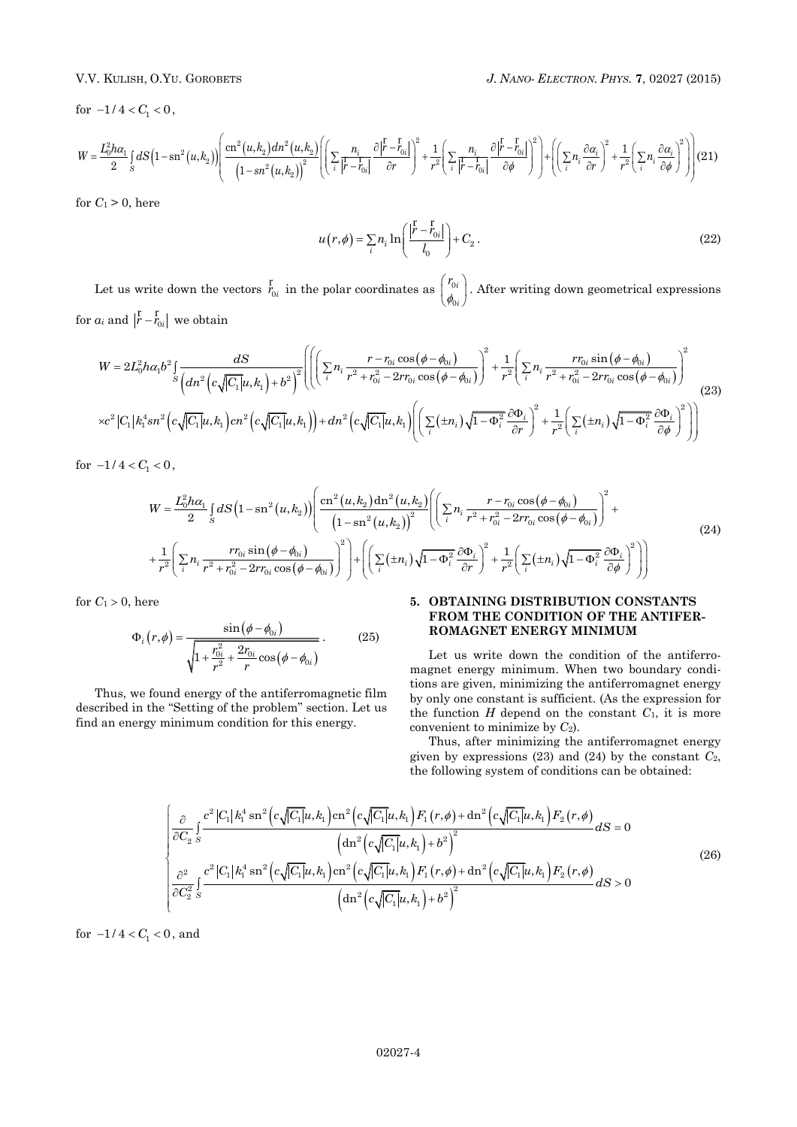for  $-1/4 < C_1 < 0$ ,

$$
V.V. \text{ KULISH, O.1 U. GOROBETS}
$$
\n
$$
6r - 1/4 < C_1 < 0,
$$
\n
$$
W = \frac{L_0^2 h \alpha_1}{2} \int_S dS \left(1 - \text{sn}^2(u, k_2)\right) \left( \frac{\text{cn}^2(u, k_2) \, dn^2(u, k_2)}{\left(1 - \text{sn}^2(u, k_2)\right)^2} \left( \left( \sum_i \frac{n_i}{|r - r_{0i}|} \frac{\partial |r - r_{0i}|}{\partial r} \right)^2 + \frac{1}{r^2} \left( \sum_i \frac{n_i}{|r - r_{0i}|} \frac{\partial |r - r_{0i}|}{\partial \phi} \right)^2 \right) + \left( \left( \sum_i n_i \frac{\partial \alpha_i}{\partial r} \right)^2 + \frac{1}{r^2} \left( \sum_i n_i \frac{\partial \alpha_i}{\partial r} \right)^2 \right) \left( 21 \right)
$$

for  $C_1 > 0$ , here

$$
u(r,\phi) = \sum_{i} n_i \ln\left(\frac{|\vec{r} - \vec{r}_{0i}|}{l_0}\right) + C_2.
$$
 (22)

Let us write down the vectors  $r_{0i}$  in the polar coordinates as  $\begin{bmatrix} r_0 \\ r_1 \end{bmatrix}$  $^{\prime}$ *i i r*  $\begin{pmatrix} r_{0i} \\ \phi_{0i} \end{pmatrix}$ . After writing down geometrical expressions for  $a_i$  and  $\left| \frac{r}{r} - \frac{r}{r_{0i}} \right|$  we obtain  $\int_{a}^{2} 1 \left( \frac{rr_{c} \cdot \sin(\phi - \phi_{c})}{r_{c} \cdot \sin(\phi - \phi_{c})} \right)^{2}$ 

 2 2 0 0 0 0 0 1 2 2 2 2 2 2 2 2 0 0 0 0 0 0 1 1 2 2 4 2 2 2 2 1 1 1 1 1 1 1 1 <sup>2</sup> cos sin <sup>1</sup> *dS r r rr* 2 2 cos 2 cos , 1 , , , 1 *i i i i i i <sup>S</sup> i i i i i i i i i i i i W L h b n n r r rr r r r rr dn c C u k b c C k sn c C u k cn c C u k dn c C u k n r r* 2 2 1 *i i i i n* (23)

for  $-1/4 < C_1 < 0$ ,

$$
V = \frac{L_0^2 h \alpha_1}{2} \int_S dS \left(1 - \mathrm{sn}^2(u, k_2)\right) \left( \frac{\mathrm{cn}^2(u, k_2) \mathrm{dn}^2(u, k_2)}{\left(1 - \mathrm{sn}^2(u, k_2)\right)^2} \left( \left(\sum_i n_i \frac{r - r_{0i} \cos(\phi - \phi_{0i})}{r^2 + r_{0i}^2 - 2rr_{0i} \cos(\phi - \phi_{0i})} \right)^2 + \frac{1}{r^2} \left(\sum_i n_i \frac{rr_{0i} \sin(\phi - \phi_{0i})}{r^2 + r_{0i}^2 - 2rr_{0i} \cos(\phi - \phi_{0i})} \right)^2 \right) + \left( \left(\sum_i (\pm n_i) \sqrt{1 - \Phi_i^2} \frac{\partial \Phi_i}{\partial r} \right)^2 + \frac{1}{r^2} \left(\sum_i (\pm n_i) \sqrt{1 - \Phi_i^2} \frac{\partial \Phi_i}{\partial \phi} \right)^2 \right) \right)
$$
\n(24)

for  $C_1 > 0$ , here

$$
\Phi_i(r,\phi) = \frac{\sin(\phi - \phi_{0i})}{\sqrt{1 + \frac{r_{0i}^2}{r^2} + \frac{2r_{0i}}{r}\cos(\phi - \phi_{0i})}}.
$$
(25)

Thus, we found energy of the antiferromagnetic film described in the "Setting of the problem" section. Let us find an energy minimum condition for this energy.

# **5. OBTAINING DISTRIBUTION CONSTANTS FROM THE CONDITION OF THE ANTIFER-ROMAGNET ENERGY MINIMUM**

Let us write down the condition of the antiferromagnet energy minimum. When two boundary conditions are given, minimizing the antiferromagnet energy by only one constant is sufficient. (As the expression for the function  $H$  depend on the constant  $C_1$ , it is more convenient to minimize by *C*2).

Thus, after minimizing the antiferromagnet energy given by expressions  $(23)$  and  $(24)$  by the constant  $C_2$ ,

the following system of conditions can be obtained:  
\n
$$
\begin{cases}\n\frac{\partial}{\partial C_2} \int_{S} \frac{c^2 |C_1| k_1^4 \sin^2(\epsilon \sqrt{|C_1|} u, k_1) \csc^2(\epsilon \sqrt{|C_1|} u, k_1) F_1(r, \phi) + \mathrm{dn}^2(\epsilon \sqrt{|C_1|} u, k_1) F_2(r, \phi)}{\left(\mathrm{dn}^2(\epsilon \sqrt{|C_1|} u, k_1) + b^2\right)^2} dS = 0 \\
\frac{\partial^2}{\partial C_2^2} \int_{S} \frac{c^2 |C_1| k_1^4 \sin^2(\epsilon \sqrt{|C_1|} u, k_1) \csc^2(\epsilon \sqrt{|C_1|} u, k_1) F_1(r, \phi) + \mathrm{dn}^2(\epsilon \sqrt{|C_1|} u, k_1) F_2(r, \phi)}{\left(\mathrm{dn}^2(\epsilon \sqrt{|C_1|} u, k_1) + b^2\right)^2} dS > 0\n\end{cases}
$$
\n(26)

for  $-1/4 < C_1 < 0$ , and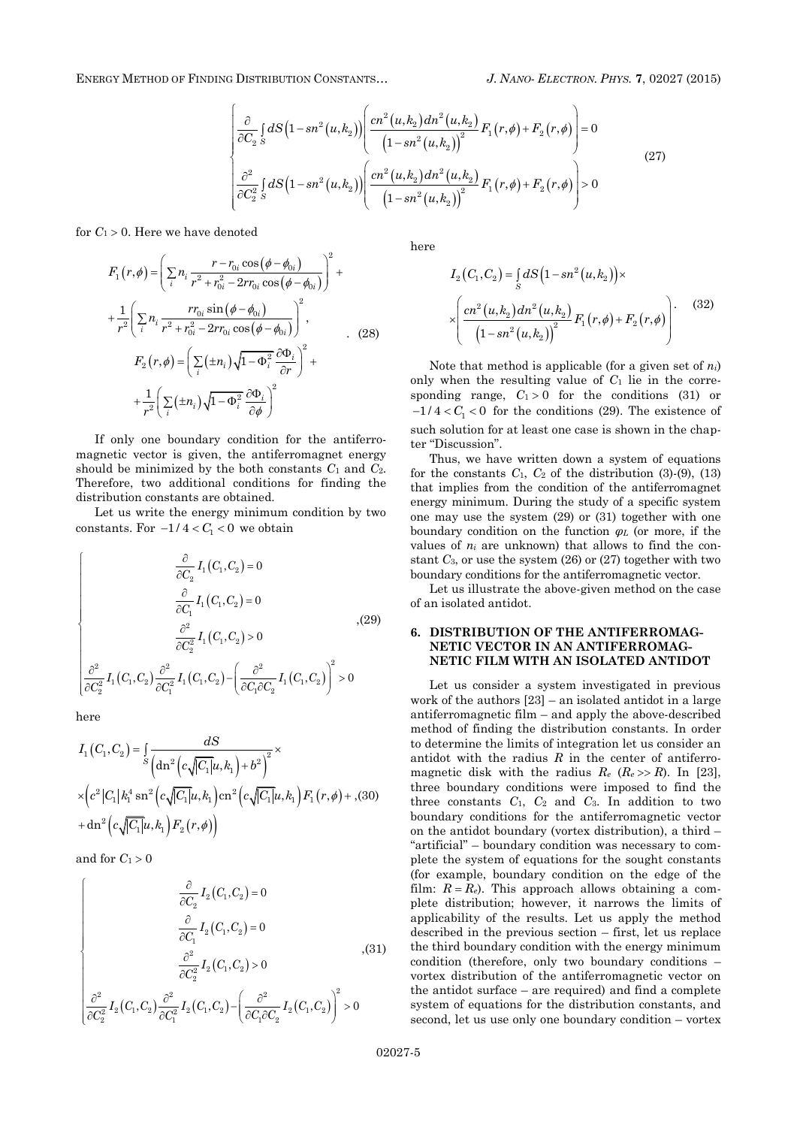ENERGY METHOD OF FINDING DISTRIBUTION CONSTANTS… *J. NANO- ELECTRON. PHYS.* **[7](#page-0-2)**, [02027](#page-0-2) [\(2015\)](#page-0-2)

 2 2 <sup>2</sup> 2 2 2 1 2 <sup>2</sup> 2 2 2 <sup>2</sup> 2 2 <sup>2</sup> 2 2 2 2 2 1 2 2 2 2 , , 1 , , , 0 1 , , , 1 , , , 0 1 , *S S cn u k dn u k dS sn u k F r F r <sup>C</sup> sn u k cn u k dn u k dS sn u k F r F r <sup>C</sup> sn u k* (27)

for  $C_1 > 0$ . Here we have denoted

$$
F_{1}(r, \phi) = \left(\sum_{i} n_{i} \frac{r - r_{0i} \cos(\phi - \phi_{0i})}{r^{2} + r_{0i}^{2} - 2rr_{0i} \cos(\phi - \phi_{0i})}\right)^{2} +
$$
  
+ 
$$
\frac{1}{r^{2}} \left(\sum_{i} n_{i} \frac{rr_{0i} \sin(\phi - \phi_{0i})}{r^{2} + r_{0i}^{2} - 2rr_{0i} \cos(\phi - \phi_{0i})}\right)^{2},
$$
  

$$
F_{2}(r, \phi) = \left(\sum_{i} (\pm n_{i}) \sqrt{1 - \Phi_{i}^{2}} \frac{\partial \Phi_{i}}{\partial r}\right)^{2} +
$$
  
+ 
$$
\frac{1}{r^{2}} \left(\sum_{i} (\pm n_{i}) \sqrt{1 - \Phi_{i}^{2}} \frac{\partial \Phi_{i}}{\partial \phi}\right)^{2}
$$
 (28)

If only one boundary condition for the antiferromagnetic vector is given, the antiferromagnet energy should be minimized by the both constants  $C_1$  and  $C_2$ . Therefore, two additional conditions for finding the distribution constants are obtained.

Let us write the energy minimum condition by two constants. For  $-1/4 < C_1 < 0$  we obtain

$$
\left\{\begin{array}{c} \frac{\partial}{\partial C_2}I_1(C_1,C_2)=0\\ \\ \frac{\partial}{\partial C_1}I_1(C_1,C_2)=0\\ \\ \frac{\partial^2}{\partial C_2^2}I_1(C_1,C_2)>0\\ \\ \frac{\partial^2}{\partial C_2^2}I_1(C_1,C_2)\Bigl.\frac{\partial^2}{\partial C_1^2}I_1(C_1,C_2)\Bigl.\left(\frac{\partial^2}{\partial C_1\partial C_2}I_1(C_1,C_2)\right)^2>0\end{array}\right. \eqno{(29)}
$$

here

$$
I_{1}(C_{1}, C_{2}) = \int_{S} \frac{dS}{\left(\text{dn}^{2}\left(c\sqrt{|C_{1}|}u, k_{1}\right) + b^{2}\right)^{2}} \times \left(c^{2}|C_{1}|k_{1}^{4}\,\text{sn}^{2}\left(c\sqrt{|C_{1}|}u, k_{1}\right)\text{cn}^{2}\left(c\sqrt{|C_{1}|}u, k_{1}\right)F_{1}(r, \phi) + ,(30) + \text{dn}^{2}\left(c\sqrt{|C_{1}|}u, k_{1}\right)F_{2}(r, \phi)\right)
$$

and for  $C_1 > 0$ 

$$
\left\{\begin{array}{c} \frac{\partial}{\partial C_2}I_2(C_1,C_2)=0\\ \\ \frac{\partial}{\partial C_1}I_2(C_1,C_2)=0\\ \\ \frac{\partial^2}{\partial C_2^2}I_2(C_1,C_2)>0\\ \\ \frac{\partial^2}{\partial C_2^2}I_2(C_1,C_2)-\left(\frac{\partial^2}{\partial C_1\partial C_2}I_2(C_1,C_2)\right)^2>0\end{array}\right.,\eqno(31)
$$

here

$$
I_2(C_1, C_2) = \int_S dS \left(1 - sn^2(u, k_2)\right) \times
$$
  
 
$$
\times \left( \frac{cn^2(u, k_2) dn^2(u, k_2)}{\left(1 - sn^2(u, k_2)\right)^2} F_1(r, \phi) + F_2(r, \phi) \right). \tag{32}
$$

Note that method is applicable (for a given set of *ni*) only when the resulting value of  $C_1$  lie in the corresponding range,  $C_1 > 0$  for the conditions (31) or  $-1/4 < C<sub>1</sub> < 0$  for the conditions (29). The existence of such solution for at least one case is shown in the chapter "Discussion".

Thus, we have written down a system of equations for the constants  $C_1$ ,  $C_2$  of the distribution (3)-(9), (13) that implies from the condition of the antiferromagnet energy minimum. During the study of a specific system one may use the system (29) or (31) together with one boundary condition on the function *φ<sup>L</sup>* (or more, if the values of *n<sup>i</sup>* are unknown) that allows to find the constant *C*3, or use the system (26) or (27) together with two boundary conditions for the antiferromagnetic vector.

Let us illustrate the above-given method on the case of an isolated antidot.

## **6. DISTRIBUTION OF THE ANTIFERROMAG-NETIC VECTOR IN AN ANTIFERROMAG-NETIC FILM WITH AN ISOLATED ANTIDOT**

Let us consider a system investigated in previous work of the authors [23] – an isolated antidot in a large antiferromagnetic film – and apply the above-described method of finding the distribution constants. In order to determine the limits of integration let us consider an antidot with the radius *R* in the center of antiferromagnetic disk with the radius  $R_e$  ( $R_e \gg R$ ). In [23], three boundary conditions were imposed to find the three constants *C*1, *C*<sup>2</sup> and *C*3. In addition to two boundary conditions for the antiferromagnetic vector on the antidot boundary (vortex distribution), a third – "artificial" – boundary condition was necessary to complete the system of equations for the sought constants (for example, boundary condition on the edge of the film:  $R = R_e$ ). This approach allows obtaining a complete distribution; however, it narrows the limits of applicability of the results. Let us apply the method described in the previous section – first, let us replace the third boundary condition with the energy minimum condition (therefore, only two boundary conditions – vortex distribution of the antiferromagnetic vector on the antidot surface – are required) and find a complete system of equations for the distribution constants, and second, let us use only one boundary condition – vortex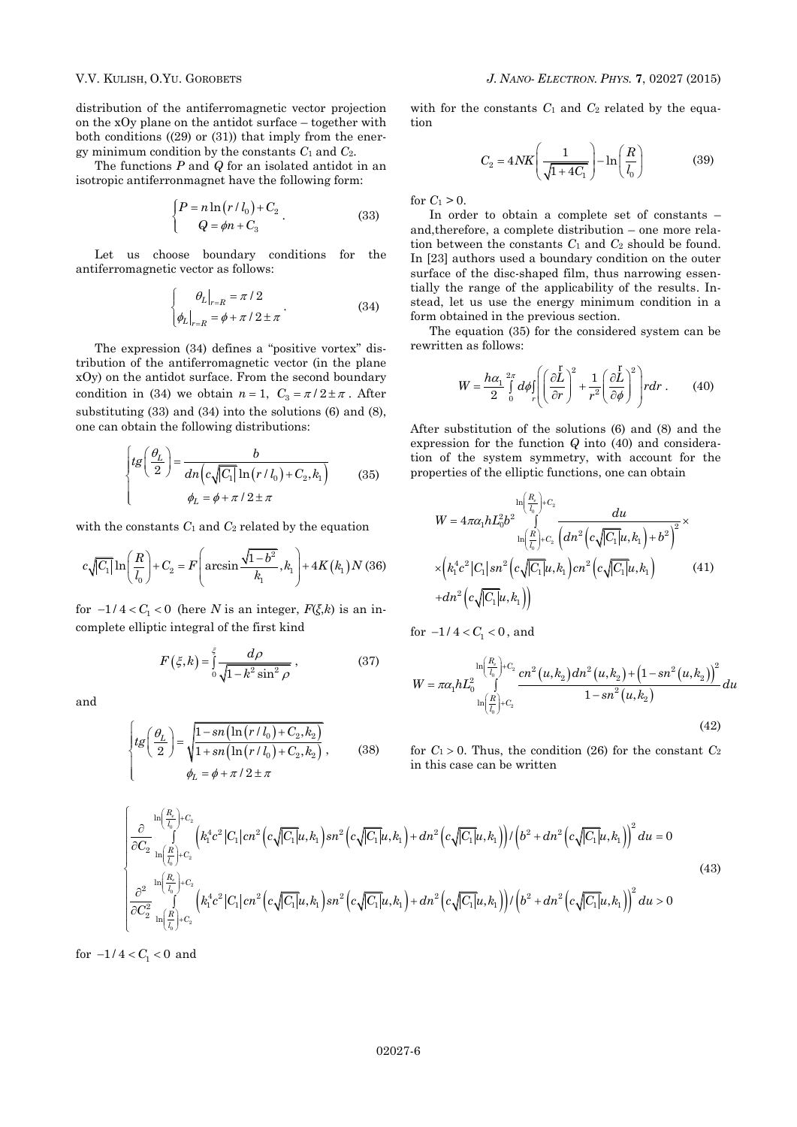distribution of the antiferromagnetic vector projection on the xOy plane on the antidot surface – together with both conditions  $((29)$  or  $(31)$ ) that imply from the energy minimum condition by the constants  $C_1$  and  $C_2$ .

The functions *P* and *Q* for an isolated antidot in an isotropic antiferronmagnet have the following form:

$$
\begin{cases}\nP = n \ln \left( r / l_0 \right) + C_2\\ \nQ = \phi n + C_3\n\end{cases}.
$$
\n(33)

Let us choose boundary conditions for the antiferromagnetic vector as follows:

$$
\begin{cases} \theta_L \big|_{r=R} = \pi / 2 \\ \phi_L \big|_{r=R} = \phi + \pi / 2 \pm \pi \end{cases} \tag{34}
$$

The expression (34) defines a "positive vortex" distribution of the antiferromagnetic vector (in the plane xOy) on the antidot surface. From the second boundary condition in (34) we obtain  $n = 1$ ,  $C_3 = \pi/2 \pm \pi$ . After substituting (33) and (34) into the solutions (6) and (8), one can obtain the following distributions:

$$
\begin{cases}tg\left(\frac{\theta_L}{2}\right) = \frac{b}{dn\left(c\sqrt{|C_1|}\ln\left(r/l_0\right) + C_2, k_1\right)} \\ \phi_L = \phi + \pi/2 \pm \pi \end{cases}
$$
(35)

with the constants 
$$
C_1
$$
 and  $C_2$  related by the equation  
\n
$$
c\sqrt{|C_1|}\ln\left(\frac{R}{l_0}\right) + C_2 = F\left(\arcsin\frac{\sqrt{1-b^2}}{k_1}, k_1\right) + 4K(k_1)N(36)
$$

for  $-1/4 < C_1 < 0$  (here *N* is an integer,  $F(\xi, k)$  is an incomplete elliptic integral of the first kind

$$
F(\xi, k) = \int_0^{\xi} \frac{d\rho}{\sqrt{1 - k^2 \sin^2 \rho}},
$$
\n(37)

and

$$
\begin{cases}\ntg\left(\frac{\theta_L}{2}\right) = \sqrt{\frac{1 - sn\left(\ln\left(r/l_0\right) + C_2, k_2\right)}{1 + sn\left(\ln\left(r/l_0\right) + C_2, k_2\right)}}, & (38) \\
\phi_L = \phi + \pi / 2 \pm \pi\n\end{cases}
$$

with for the constants  $C_1$  and  $C_2$  related by the equation

$$
C_2 = 4NK \left(\frac{1}{\sqrt{1+4C_1}}\right) - \ln\left(\frac{R}{l_0}\right) \tag{39}
$$

for  $C_1 > 0$ .

In order to obtain a complete set of constants – and,therefore, a complete distribution – one more relation between the constants  $C_1$  and  $C_2$  should be found. In [23] authors used a boundary condition on the outer surface of the disc-shaped film, thus narrowing essentially the range of the applicability of the results. Instead, let us use the energy minimum condition in a form obtained in the previous section.

The equation (35) for the considered system can be rewritten as follows:

$$
W = \frac{h\alpha_1}{2} \int_0^{2\pi} d\phi \int_r \left( \left( \frac{\partial \overline{L}}{\partial r} \right)^2 + \frac{1}{r^2} \left( \frac{\partial \overline{L}}{\partial \phi} \right)^2 \right) r dr \ . \tag{40}
$$

After substitution of the solutions (6) and (8) and the expression for the function *Q* into (40) and consideration of the system symmetry, with account for the properties of the elliptic functions, one can obtain

$$
W = 4\pi\alpha_1 h L_0^2 b^2 \int_{\ln\left(\frac{R}{l_0}\right) + C_2}^{\ln\left(\frac{R}{l_0}\right) + C_2} \frac{du}{\left[dn^2\left(c\sqrt{|C_1|}u, k_1\right) + b^2\right]^2} \times \times \left(k_1^4 c^2 |C_1| sn^2\left(c\sqrt{|C_1|}u, k_1\right) cn^2\left(c\sqrt{|C_1|}u, k_1\right)\right) + dn^2\left(c\sqrt{|C_1|}u, k_1\right) \tag{41}
$$

for  $-1/4 < C_1 < 0$ , and

$$
W = \pi \alpha_1 h L_0^2 \int_{\ln\left(\frac{R}{l_0}\right) + C_2}^{\ln\left(\frac{R}{l_0}\right) + C_2} \frac{cn^2(u, k_2) dn^2(u, k_2) + \left(1 - sn^2(u, k_2)\right)^2}{1 - sn^2(u, k_2)} du
$$
\n(42)

for  $C_1 > 0$ . Thus, the condition (26) for the constant  $C_2$ in this case can be written

$$
\begin{cases}\n\frac{\partial}{\partial C_2} \ln\left(\frac{R_e}{l_0}\right) + C_2 \\
\frac{\partial}{\partial C_2} \ln\left(\frac{R}{l_0}\right) + C_2\n\end{cases}\n\begin{pmatrix}\n\frac{1}{R_1} + C_2 \\
\frac{1}{R_2} + C_2\n\end{pmatrix}\n\begin{pmatrix}\n\frac{1}{R_1} + C_2 \\
\frac{1}{R_2} + C_2\n\end{pmatrix}\n\begin{pmatrix}\n\frac{1}{R_1} + C_2 \\
\frac{1}{R_2} + C_2\n\end{pmatrix}\n\begin{pmatrix}\n\frac{1}{R_1} + C_2 \\
\frac{1}{R_2} + C_2\n\end{pmatrix}\n\begin{pmatrix}\n\frac{1}{R_1} + C_2 \\
\frac{1}{R_2} + C_2\n\end{pmatrix}\n\begin{pmatrix}\n\frac{1}{R_1} + C_2 \\
\frac{1}{R_2} + C_2\n\end{pmatrix}\n\begin{pmatrix}\n\frac{1}{R_1} + C_2 \\
\frac{1}{R_2} + C_2\n\end{pmatrix}\n\begin{pmatrix}\n\frac{1}{R_1} + C_2 \\
\frac{1}{R_2} + C_2\n\end{pmatrix}\n\begin{pmatrix}\n\frac{1}{R_1} + C_2 \\
\frac{1}{R_2} + C_2\n\end{pmatrix}\n\begin{pmatrix}\n\frac{1}{R_1} + C_2 \\
\frac{1}{R_2} + C_2\n\end{pmatrix}\n\begin{pmatrix}\n\frac{1}{R_1} + C_2 \\
\frac{1}{R_2} + C_2\n\end{pmatrix}\n\begin{pmatrix}\n\frac{1}{R_1} + C_2 \\
\frac{1}{R_2} + C_2\n\end{pmatrix}\n\begin{pmatrix}\n\frac{1}{R_1} + C_2 \\
\frac{1}{R_2} + C_2\n\end{pmatrix}\n\begin{pmatrix}\n\frac{1}{R_1} + C_2 \\
\frac{1}{R_2} + C_2\n\end{pmatrix}\n\begin{pmatrix}\n\frac{1}{R_1} + C_2 \\
\frac{1}{R_2} + C_2\n\end{pmatrix}\n\begin{pmatrix}\n\frac{1}{R_1} + C_2 \\
\frac{1}{R_2} + C_2\n\end{pmatrix}\n\begin{pmatrix}\n\frac{1}{R
$$

for  $-1/4 < C_1 < 0$  and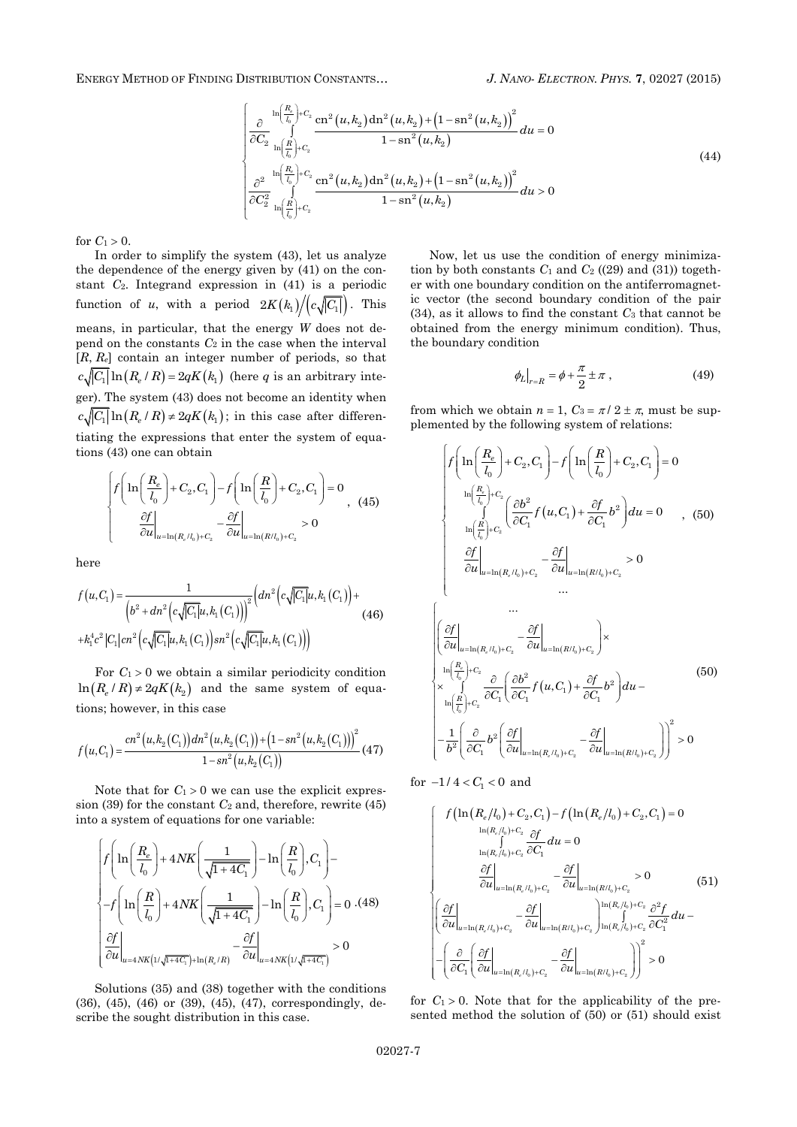ENERGY METHOD OF FINDING DISTRIBUTION CONSTANTS… *J. NANO- ELECTRON. PHYS.* **[7](#page-0-2)**, [02027](#page-0-2) [\(2015\)](#page-0-2)

$$
\begin{cases}\n\frac{\partial}{\partial C_2} \ln\left(\frac{R_{\rm e}}{l_0}\right) + C_2 \csc^2\left(u, k_2\right) \mathrm{dn}^2 \left(u, k_2\right) + \left(1 - \mathrm{sn}^2 \left(u, k_2\right)\right)^2}{1 - \mathrm{sn}^2 \left(u, k_2\right)} du = 0 \\
\frac{\partial^2}{\partial C_2} \ln\left(\frac{R_{\rm e}}{l_0}\right) + C_2 \csc^2\left(u, k_2\right) \mathrm{dn}^2 \left(u, k_2\right) + \left(1 - \mathrm{sn}^2 \left(u, k_2\right)\right)^2 \\
\frac{\partial^2}{\partial C_2^2} \ln\left(\frac{R_{\rm e}}{l_0}\right) + C_2 \csc^2\left(u, k_2\right) \mathrm{dn}^2 \left(u, k_2\right) + \mathrm{cn}^2 \left(u, k_2\right)}{1 - \mathrm{sn}^2 \left(u, k_2\right)} du > 0\n\end{cases}
$$
\n(44)

for  $C_1 > 0$ .

In order to simplify the system (43), let us analyze the dependence of the energy given by (41) on the constant *C*2. Integrand expression in (41) is a periodic function of *u*, with a period  $2K(k_1)/|c\sqrt{|C_1|}$ . This means, in particular, that the energy *W* does not depend on the constants  $C_2$  in the case when the interval [*R*, *Re*] contain an integer number of periods, so that  $c\sqrt{|C_1|} \ln(R_e/R) = 2qK(k_1)$  (here *q* is an arbitrary integer). The system (43) does not become an identity when  $c\sqrt{|C_1|}\ln(R_e/R) \neq 2qK(k_1)$ ; in this case after differentiating the expressions that enter the system of equations (43) one can obtain

$$
\begin{cases}\nf\left(\ln\left(\frac{R_e}{l_0}\right) + C_2, C_1\right) - f\left(\ln\left(\frac{R}{l_0}\right) + C_2, C_1\right) = 0 \\
\frac{\partial f}{\partial u}\Big|_{u = \ln(R_e/l_0) + C_2} - \frac{\partial f}{\partial u}\Big|_{u = \ln(R/l_0) + C_2} > 0\n\end{cases}
$$
\n<sup>(45)</sup>

here

$$
f(u,C_1) = \frac{1}{\left(b^2 + dn^2 \left(c\sqrt{|C_1|}u, k_1(C_1)\right)\right)^2} \left(dn^2 \left(c\sqrt{|C_1|}u, k_1(C_1)\right) + k_1^4 c^2 \left|C_1\right| cn^2 \left(c\sqrt{|C_1|}u, k_1(C_1)\right)\right)^2 \left(c\sqrt{|C_1|}u, k_1(C_1)\right)\right)
$$
(46)

For  $C_1 > 0$  we obtain a similar periodicity condition  $\ln (R_e/R) \neq 2qK(k_2)$  and the same system of equations; however, in this case

$$
f(u,C_1) = \frac{cn^2(u,k_2(C_1))dn^2(u,k_2(C_1)) + (1 - sn^2(u,k_2(C_1)))^2}{1 - sn^2(u,k_2(C_1))} \tag{47}
$$

Note that for  $C_1 > 0$  we can use the explicit expression (39) for the constant  $C_2$  and, therefore, rewrite (45) into a system of equations for one variable:

$$
\begin{cases} \displaystyle f\Bigg(\ln\Bigg(\frac{R_e}{l_0}\Bigg)+4N K\Bigg(\frac{1}{\sqrt{1+4C_1}}\Bigg)-\ln\Bigg(\frac{R}{l_0}\Bigg),C_1\Bigg)- \vspace{1mm}\\ \displaystyle -f\Bigg(\ln\Bigg(\frac{R}{l_0}\Bigg)+4N K\Bigg(\frac{1}{\sqrt{1+4C_1}}\Bigg)-\ln\Bigg(\frac{R}{l_0}\Bigg),C_1\Bigg)=0\,\,. \end{cases} \label{eq:2.1}
$$

Solutions (35) and (38) together with the conditions (36), (45), (46) or (39), (45), (47), correspondingly, describe the sought distribution in this case.

Now, let us use the condition of energy minimization by both constants  $C_1$  and  $C_2$  ((29) and (31)) together with one boundary condition on the antiferromagnetic vector (the second boundary condition of the pair (34), as it allows to find the constant *C*<sup>3</sup> that cannot be obtained from the energy minimum condition). Thus, the boundary condition

$$
\phi_L\big|_{r=R} = \phi + \frac{\pi}{2} \pm \pi \tag{49}
$$

from which we obtain  $n = 1$ ,  $C_3 = \pi/2 \pm \pi$ , must be supplemented by the following system of relations:

$$
\begin{cases}\nf\left(\ln\left(\frac{R_e}{l_0}\right)+C_2,C_1\right)-f\left(\ln\left(\frac{R}{l_0}\right)+C_2,C_1\right)=0 \\
\ln\left(\frac{R_e}{l_0}\right)+C_2\left(\frac{\partial b^2}{\partial C_1}f(u,C_1)+\frac{\partial f}{\partial C_1}b^2\right)du=0 & , (50) \\
\frac{\partial f}{\partial u}\bigg|_{u=\ln(R_e/l_0)+C_2}-\frac{\partial f}{\partial u}\bigg|_{u=\ln(R/l_0)+C_2}&>0 \\
\dots \\
\frac{\partial f}{\partial u}\bigg|_{u=\ln(R_e/l_0)+C_2}-\frac{\partial f}{\partial u}\bigg|_{u=\ln(R/l_0)+C_2}&\dots \\
\ln\left(\frac{R_e}{l_0}\right)+C_2-\frac{\partial f}{\partial u}\bigg|_{u=\ln(R/l_0)+C_2}\right)\times \\
\ln\left(\frac{R_e}{l_0}\right)+C_2-\frac{\partial f}{\partial C_1}\left(\frac{\partial b^2}{\partial C_1}f(u,C_1)+\frac{\partial f}{\partial C_1}b^2\right)du-\n\left[-\frac{1}{b^2}\left(\frac{\partial}{\partial C_1}b^2\left(\frac{\partial f}{\partial u}\right)_{u=\ln(R_e/l_0)+C_2}-\frac{\partial f}{\partial u}\right]_{u=\ln(R/l_0)+C_2}\right)\right]^2>0\n\end{cases}
$$

for  $-1/4 < C_1 < 0$  and

$$
\begin{cases}\nf\left(\ln\left(R_e/l_0\right)+C_2,C_1\right)-f\left(\ln\left(R_e/l_0\right)+C_2,C_1\right)=0 \\
\frac{\ln\left(R_e/l_0\right)+C_2}{\int\limits_{\ln\left(R_e/l_0\right)+C_2}\frac{\partial f}{\partial C_1}}du=0 \\
\frac{\frac{\partial f}{\partial u}\bigg|_{u=\ln\left(R_e/l_0\right)+C_2}-\frac{\partial f}{\partial u}\bigg|_{u=\ln\left(R/l_0\right)+C_2}>0\n\end{cases}\n\tag{51}
$$
\n
$$
\left(\frac{\frac{\partial f}{\partial u}\bigg|_{u=\ln\left(R_e/l_0\right)+C_2}-\frac{\partial f}{\partial u}\bigg|_{u=\ln\left(R/l_0\right)+C_2}\right)\ln\left(\frac{R_e/l_0\right)+C_2}{\int\limits_{\ln\left(R_e/l_0\right)+C_2}\frac{\partial^2 f}{\partial C_1^2}}du-\right.
$$
\n
$$
-\left(\frac{\partial}{\partial C_1}\left(\frac{\partial f}{\partial u}\bigg|_{u=\ln\left(R_e/l_0\right)+C_2}-\frac{\partial f}{\partial u}\bigg|_{u=\ln\left(R/l_0\right)+C_2}\right)\right)^2>0
$$

for  $C_1 > 0$ . Note that for the applicability of the presented method the solution of (50) or (51) should exist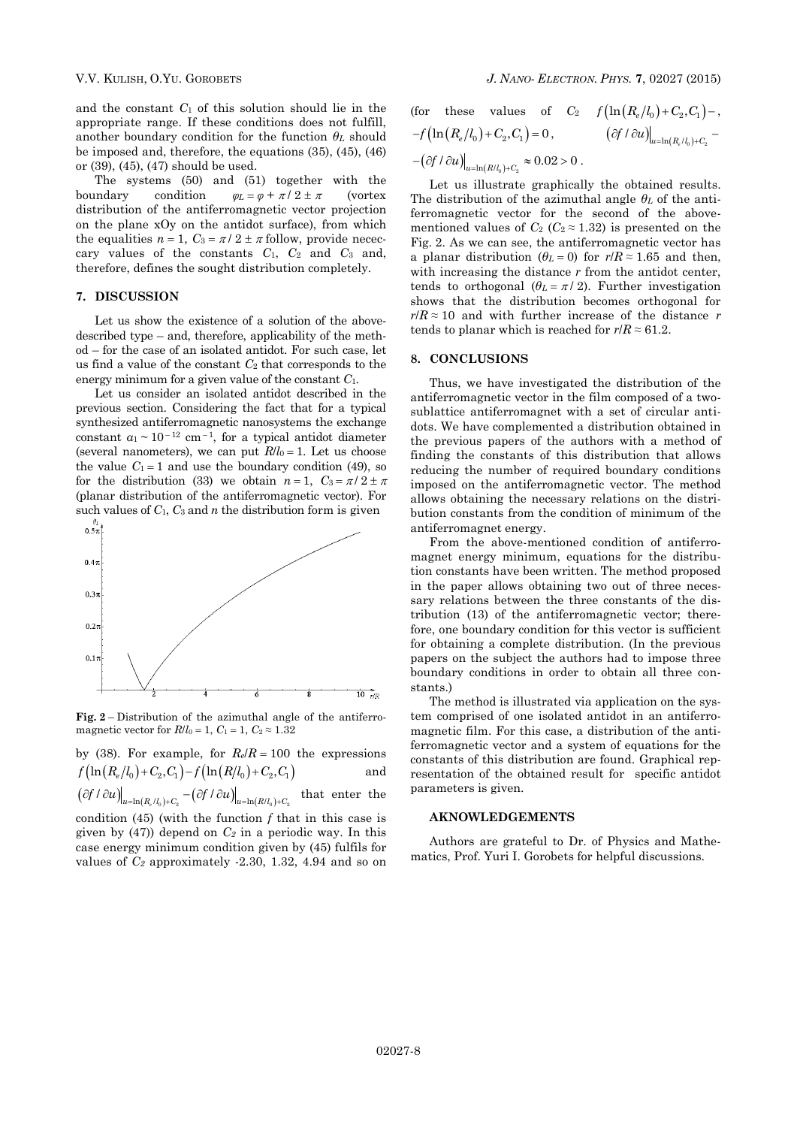and the constant *C*<sup>1</sup> of this solution should lie in the appropriate range. If these conditions does not fulfill, another boundary condition for the function *θ<sup>L</sup>* should be imposed and, therefore, the equations (35), (45), (46) or (39), (45), (47) should be used.

The systems (50) and (51) together with the boundary condition  $\varphi_L = \varphi + \pi / 2 \pm \pi$  (vortex distribution of the antiferromagnetic vector projection on the plane xOy on the antidot surface), from which the equalities  $n = 1$ ,  $C_3 = \pi/2 \pm \pi$  follow, provide nececcary values of the constants *C*1, *C*<sup>2</sup> and *C*<sup>3</sup> and, therefore, defines the sought distribution completely.

#### **7. DISCUSSION**

Let us show the existence of a solution of the abovedescribed type – and, therefore, applicability of the method – for the case of an isolated antidot. For such case, let us find a value of the constant *C*<sup>2</sup> that corresponds to the energy minimum for a given value of the constant *C*1.

Let us consider an isolated antidot described in the previous section. Considering the fact that for a typical synthesized antiferromagnetic nanosystems the exchange constant  $a_1 \sim 10^{-12}$  cm<sup>-1</sup>, for a typical antidot diameter (several nanometers), we can put  $R/l_0 = 1$ . Let us choose the value  $C_1 = 1$  and use the boundary condition (49), so for the distribution (33) we obtain  $n = 1$ ,  $C_3 = \pi/2 \pm \pi$ (planar distribution of the antiferromagnetic vector). For such values of  $C_1$ ,  $C_3$  and  $n$  the distribution form is given



**Fig. 2** – Distribution of the azimuthal angle of the antiferromagnetic vector for  $R/l_0 = 1$ ,  $C_1 = 1$ ,  $C_2 \approx 1.32$ 

by (38). For example, for  $R_e/R = 100$  the expressions  $f\left(\ln\left(R_e/l_0\right)+C_2,C_1\right)-f\left(\ln\left(R/l_0\right)+C_2,C_1\right)$ and  $\left(\partial f / \partial u\right)_{u=\ln(R_e/l_0)+C_2} - \left(\partial f / \partial u\right)_{u=\ln(R/l_0)+C_2}$  that enter the condition (45) (with the function *f* that in this case is given by (47)) depend on *C<sup>2</sup>* in a periodic way. In this case energy minimum condition given by (45) fulfils for values of *C<sup>2</sup>* approximately -2.30, 1.32, 4.94 and so on

(for these values of 
$$
C_2
$$
  $f\left(\ln\left(R_e/l_0\right)+C_2,C_1\right)-$ ,  $-f\left(\ln\left(R_e/l_0\right)+C_2,C_1\right)=0$ ,  $\left(\partial f/\partial u\right)\Big|_{u=\ln\left(R_e/l_0\right)+C_2} - \left(\partial f/\partial u\right)\Big|_{u=\ln\left(R/l_0\right)+C_2} \approx 0.02 > 0$ .

Let us illustrate graphically the obtained results. The distribution of the azimuthal angle *θ<sup>L</sup>* of the antiferromagnetic vector for the second of the abovementioned values of  $C_2$  ( $C_2 \approx 1.32$ ) is presented on the Fig. 2. As we can see, the antiferromagnetic vector has a planar distribution ( $\theta_L = 0$ ) for  $r/R \approx 1.65$  and then, with increasing the distance *r* from the antidot center, tends to orthogonal  $(\theta_L = \pi / 2)$ . Further investigation shows that the distribution becomes orthogonal for  $r/R \approx 10$  and with further increase of the distance *r* tends to planar which is reached for  $r/R \approx 61.2$ .

### **8. CONCLUSIONS**

Thus, we have investigated the distribution of the antiferromagnetic vector in the film composed of a twosublattice antiferromagnet with a set of circular antidots. We have complemented a distribution obtained in the previous papers of the authors with a method of finding the constants of this distribution that allows reducing the number of required boundary conditions imposed on the antiferromagnetic vector. The method allows obtaining the necessary relations on the distribution constants from the condition of minimum of the antiferromagnet energy.

From the above-mentioned condition of antiferromagnet energy minimum, equations for the distribution constants have been written. The method proposed in the paper allows obtaining two out of three necessary relations between the three constants of the distribution (13) of the antiferromagnetic vector; therefore, one boundary condition for this vector is sufficient for obtaining a complete distribution. (In the previous papers on the subject the authors had to impose three boundary conditions in order to obtain all three constants.)

The method is illustrated via application on the system comprised of one isolated antidot in an antiferromagnetic film. For this case, a distribution of the antiferromagnetic vector and a system of equations for the constants of this distribution are found. Graphical representation of the obtained result for specific antidot parameters is given.

#### **AKNOWLEDGEMENTS**

Authors are grateful to Dr. of Physics and Mathematics, Prof. Yuri I. Gorobets for helpful discussions.